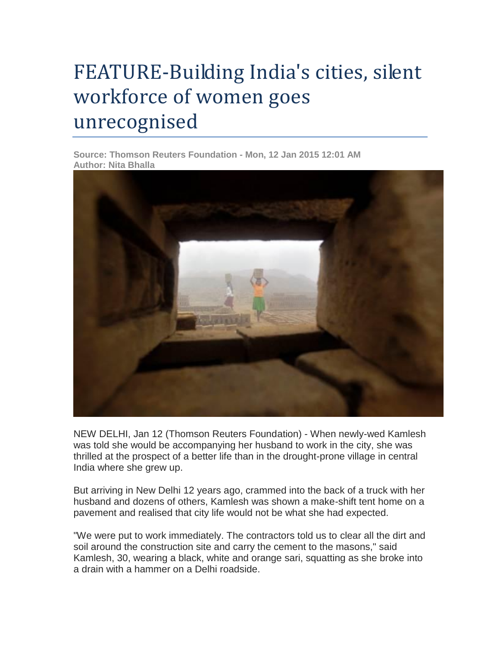## FEATURE-Building India's cities, silent workforce of women goes unrecognised

**Source: Thomson Reuters Foundation - Mon, 12 Jan 2015 12:01 AM Author: Nita Bhalla**



NEW DELHI, Jan 12 (Thomson Reuters Foundation) - When newly-wed Kamlesh was told she would be accompanying her husband to work in the city, she was thrilled at the prospect of a better life than in the drought-prone village in central India where she grew up.

But arriving in New Delhi 12 years ago, crammed into the back of a truck with her husband and dozens of others, Kamlesh was shown a make-shift tent home on a pavement and realised that city life would not be what she had expected.

"We were put to work immediately. The contractors told us to clear all the dirt and soil around the construction site and carry the cement to the masons," said Kamlesh, 30, wearing a black, white and orange sari, squatting as she broke into a drain with a hammer on a Delhi roadside.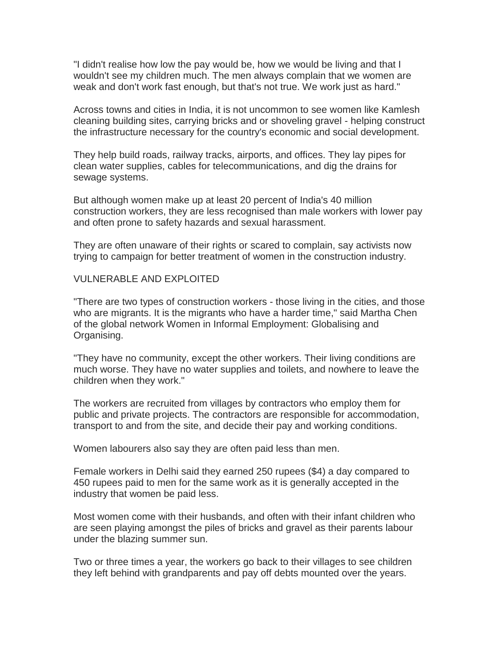"I didn't realise how low the pay would be, how we would be living and that I wouldn't see my children much. The men always complain that we women are weak and don't work fast enough, but that's not true. We work just as hard."

Across towns and cities in India, it is not uncommon to see women like Kamlesh cleaning building sites, carrying bricks and or shoveling gravel - helping construct the infrastructure necessary for the country's economic and social development.

They help build roads, railway tracks, airports, and offices. They lay pipes for clean water supplies, cables for telecommunications, and dig the drains for sewage systems.

But although women make up at least 20 percent of India's 40 million construction workers, they are less recognised than male workers with lower pay and often prone to safety hazards and sexual harassment.

They are often unaware of their rights or scared to complain, say activists now trying to campaign for better treatment of women in the construction industry.

### VULNERABLE AND EXPLOITED

"There are two types of construction workers - those living in the cities, and those who are migrants. It is the migrants who have a harder time," said Martha Chen of the global network Women in Informal Employment: Globalising and Organising.

"They have no community, except the other workers. Their living conditions are much worse. They have no water supplies and toilets, and nowhere to leave the children when they work."

The workers are recruited from villages by contractors who employ them for public and private projects. The contractors are responsible for accommodation, transport to and from the site, and decide their pay and working conditions.

Women labourers also say they are often paid less than men.

Female workers in Delhi said they earned 250 rupees (\$4) a day compared to 450 rupees paid to men for the same work as it is generally accepted in the industry that women be paid less.

Most women come with their husbands, and often with their infant children who are seen playing amongst the piles of bricks and gravel as their parents labour under the blazing summer sun.

Two or three times a year, the workers go back to their villages to see children they left behind with grandparents and pay off debts mounted over the years.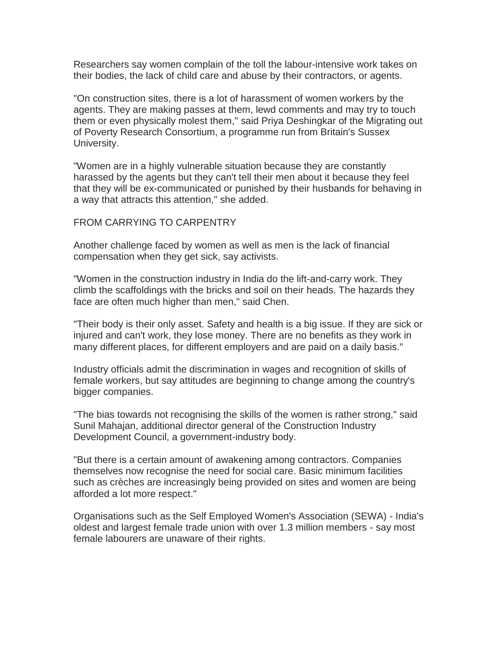Researchers say women complain of the toll the labour-intensive work takes on their bodies, the lack of child care and abuse by their contractors, or agents.

"On construction sites, there is a lot of harassment of women workers by the agents. They are making passes at them, lewd comments and may try to touch them or even physically molest them," said Priya Deshingkar of the Migrating out of Poverty Research Consortium, a programme run from Britain's Sussex University.

"Women are in a highly vulnerable situation because they are constantly harassed by the agents but they can't tell their men about it because they feel that they will be ex-communicated or punished by their husbands for behaving in a way that attracts this attention," she added.

### FROM CARRYING TO CARPENTRY

Another challenge faced by women as well as men is the lack of financial compensation when they get sick, say activists.

"Women in the construction industry in India do the lift-and-carry work. They climb the scaffoldings with the bricks and soil on their heads. The hazards they face are often much higher than men," said Chen.

"Their body is their only asset. Safety and health is a big issue. If they are sick or injured and can't work, they lose money. There are no benefits as they work in many different places, for different employers and are paid on a daily basis."

Industry officials admit the discrimination in wages and recognition of skills of female workers, but say attitudes are beginning to change among the country's bigger companies.

"The bias towards not recognising the skills of the women is rather strong," said Sunil Mahajan, additional director general of the Construction Industry Development Council, a government-industry body.

"But there is a certain amount of awakening among contractors. Companies themselves now recognise the need for social care. Basic minimum facilities such as crèches are increasingly being provided on sites and women are being afforded a lot more respect."

Organisations such as the Self Employed Women's Association (SEWA) - India's oldest and largest female trade union with over 1.3 million members - say most female labourers are unaware of their rights.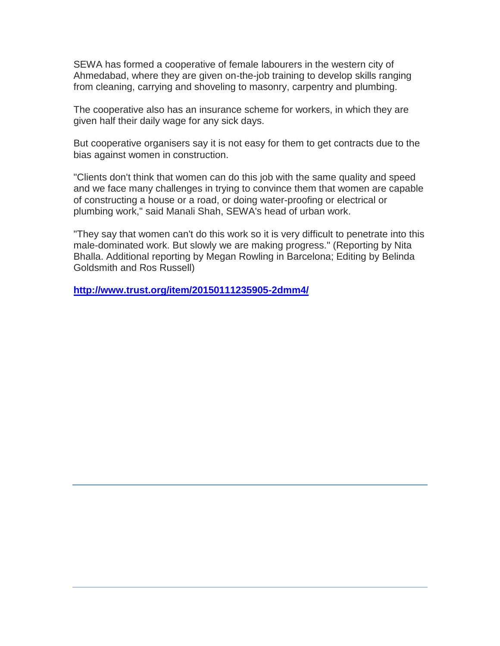SEWA has formed a cooperative of female labourers in the western city of Ahmedabad, where they are given on-the-job training to develop skills ranging from cleaning, carrying and shoveling to masonry, carpentry and plumbing.

The cooperative also has an insurance scheme for workers, in which they are given half their daily wage for any sick days.

But cooperative organisers say it is not easy for them to get contracts due to the bias against women in construction.

"Clients don't think that women can do this job with the same quality and speed and we face many challenges in trying to convince them that women are capable of constructing a house or a road, or doing water-proofing or electrical or plumbing work," said Manali Shah, SEWA's head of urban work.

"They say that women can't do this work so it is very difficult to penetrate into this male-dominated work. But slowly we are making progress." (Reporting by Nita Bhalla. Additional reporting by Megan Rowling in Barcelona; Editing by Belinda Goldsmith and Ros Russell)

**<http://www.trust.org/item/20150111235905-2dmm4/>**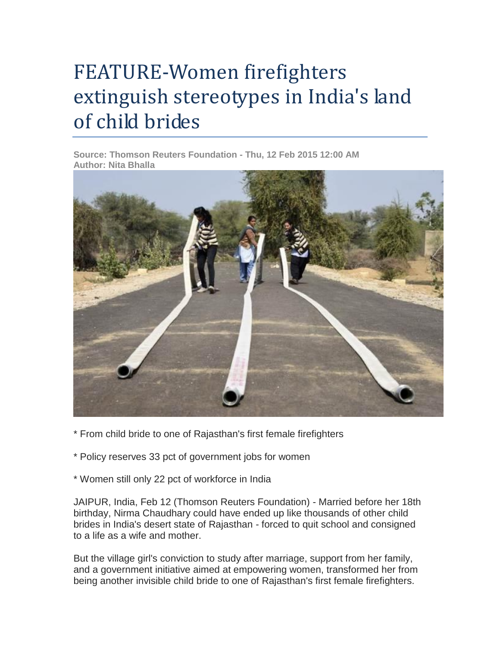## FEATURE-Women firefighters extinguish stereotypes in India's land of child brides

**Source: Thomson Reuters Foundation - Thu, 12 Feb 2015 12:00 AM Author: Nita Bhalla**



- \* From child bride to one of Rajasthan's first female firefighters
- \* Policy reserves 33 pct of government jobs for women

\* Women still only 22 pct of workforce in India

JAIPUR, India, Feb 12 (Thomson Reuters Foundation) - Married before her 18th birthday, Nirma Chaudhary could have ended up like thousands of other child brides in India's desert state of Rajasthan - forced to quit school and consigned to a life as a wife and mother.

But the village girl's conviction to study after marriage, support from her family, and a government initiative aimed at empowering women, transformed her from being another invisible child bride to one of Rajasthan's first female firefighters.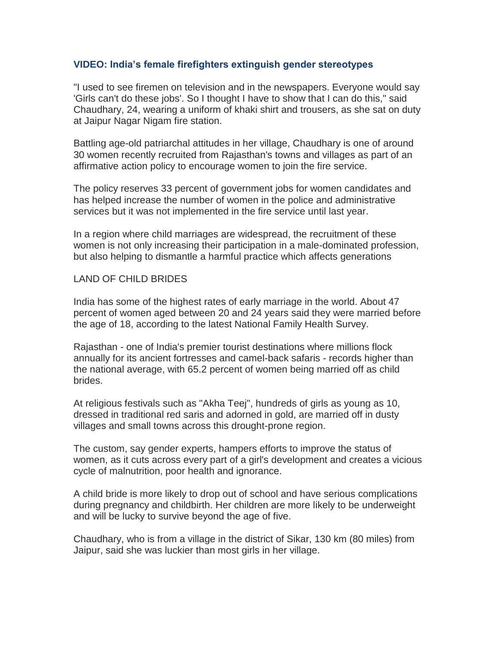## **VIDEO: [India's female firefighters extinguish gender stereotypes](http://youtu.be/S54fz7p9sPs)**

"I used to see firemen on television and in the newspapers. Everyone would say 'Girls can't do these jobs'. So I thought I have to show that I can do this," said Chaudhary, 24, wearing a uniform of khaki shirt and trousers, as she sat on duty at Jaipur Nagar Nigam fire station.

Battling age-old patriarchal attitudes in her village, Chaudhary is one of around 30 women recently recruited from Rajasthan's towns and villages as part of an affirmative action policy to encourage women to join the fire service.

The policy reserves 33 percent of government jobs for women candidates and has helped increase the number of women in the police and administrative services but it was not implemented in the fire service until last year.

In a region where child marriages are widespread, the recruitment of these women is not only increasing their participation in a male-dominated profession, but also helping to dismantle a harmful practice which affects generations

## LAND OF CHILD BRIDES

India has some of the highest rates of early marriage in the world. About 47 percent of women aged between 20 and 24 years said they were married before the age of 18, according to the latest National Family Health Survey.

Rajasthan - one of India's premier tourist destinations where millions flock annually for its ancient fortresses and camel-back safaris - records higher than the national average, with 65.2 percent of women being married off as child brides.

At religious festivals such as "Akha Teej", hundreds of girls as young as 10, dressed in traditional red saris and adorned in gold, are married off in dusty villages and small towns across this drought-prone region.

The custom, say gender experts, hampers efforts to improve the status of women, as it cuts across every part of a girl's development and creates a vicious cycle of malnutrition, poor health and ignorance.

A child bride is more likely to drop out of school and have serious complications during pregnancy and childbirth. Her children are more likely to be underweight and will be lucky to survive beyond the age of five.

Chaudhary, who is from a village in the district of Sikar, 130 km (80 miles) from Jaipur, said she was luckier than most girls in her village.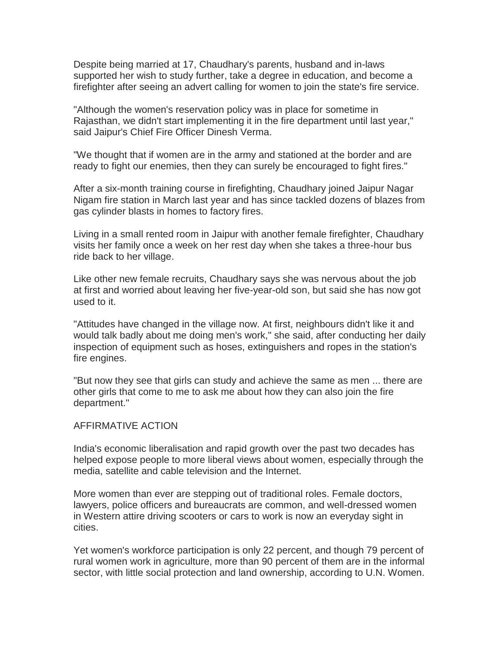Despite being married at 17, Chaudhary's parents, husband and in-laws supported her wish to study further, take a degree in education, and become a firefighter after seeing an advert calling for women to join the state's fire service.

"Although the women's reservation policy was in place for sometime in Rajasthan, we didn't start implementing it in the fire department until last year," said Jaipur's Chief Fire Officer Dinesh Verma.

"We thought that if women are in the army and stationed at the border and are ready to fight our enemies, then they can surely be encouraged to fight fires."

After a six-month training course in firefighting, Chaudhary joined Jaipur Nagar Nigam fire station in March last year and has since tackled dozens of blazes from gas cylinder blasts in homes to factory fires.

Living in a small rented room in Jaipur with another female firefighter, Chaudhary visits her family once a week on her rest day when she takes a three-hour bus ride back to her village.

Like other new female recruits, Chaudhary says she was nervous about the job at first and worried about leaving her five-year-old son, but said she has now got used to it.

"Attitudes have changed in the village now. At first, neighbours didn't like it and would talk badly about me doing men's work," she said, after conducting her daily inspection of equipment such as hoses, extinguishers and ropes in the station's fire engines.

"But now they see that girls can study and achieve the same as men ... there are other girls that come to me to ask me about how they can also join the fire department."

### AFFIRMATIVE ACTION

India's economic liberalisation and rapid growth over the past two decades has helped expose people to more liberal views about women, especially through the media, satellite and cable television and the Internet.

More women than ever are stepping out of traditional roles. Female doctors, lawyers, police officers and bureaucrats are common, and well-dressed women in Western attire driving scooters or cars to work is now an everyday sight in cities.

Yet women's workforce participation is only 22 percent, and though 79 percent of rural women work in agriculture, more than 90 percent of them are in the informal sector, with little social protection and land ownership, according to U.N. Women.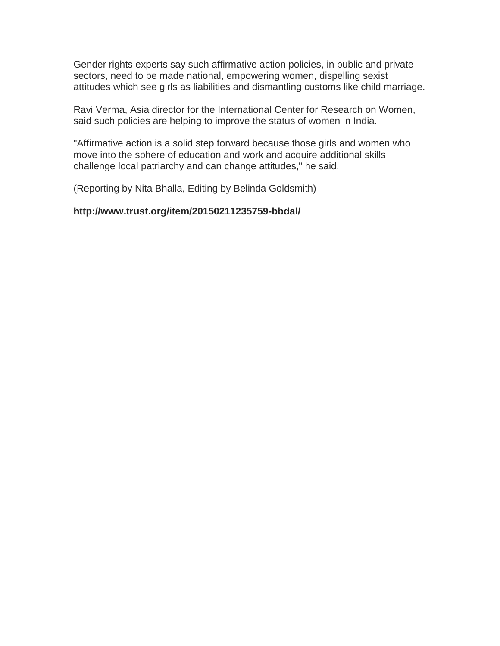Gender rights experts say such affirmative action policies, in public and private sectors, need to be made national, empowering women, dispelling sexist attitudes which see girls as liabilities and dismantling customs like child marriage.

Ravi Verma, Asia director for the International Center for Research on Women, said such policies are helping to improve the status of women in India.

"Affirmative action is a solid step forward because those girls and women who move into the sphere of education and work and acquire additional skills challenge local patriarchy and can change attitudes," he said.

(Reporting by Nita Bhalla, Editing by Belinda Goldsmith)

**http://www.trust.org/item/20150211235759-bbdal/**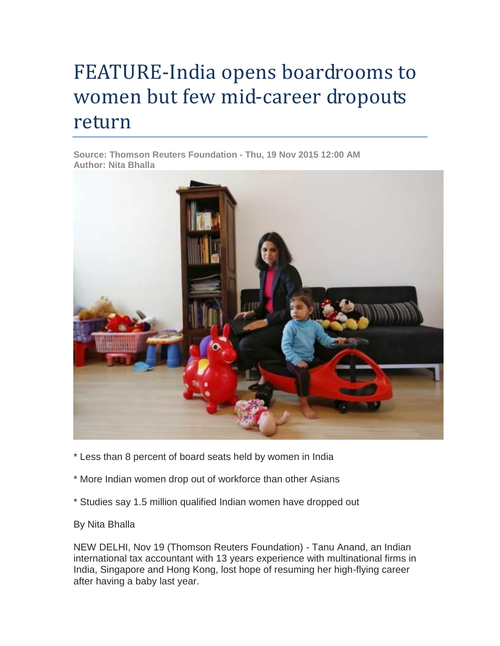## FEATURE-India opens boardrooms to women but few mid-career dropouts return

**Source: Thomson Reuters Foundation - Thu, 19 Nov 2015 12:00 AM Author: Nita Bhalla**



- \* Less than 8 percent of board seats held by women in India
- \* More Indian women drop out of workforce than other Asians
- \* Studies say 1.5 million qualified Indian women have dropped out

By Nita Bhalla

NEW DELHI, Nov 19 (Thomson Reuters Foundation) - Tanu Anand, an Indian international tax accountant with 13 years experience with multinational firms in India, Singapore and Hong Kong, lost hope of resuming her high-flying career after having a baby last year.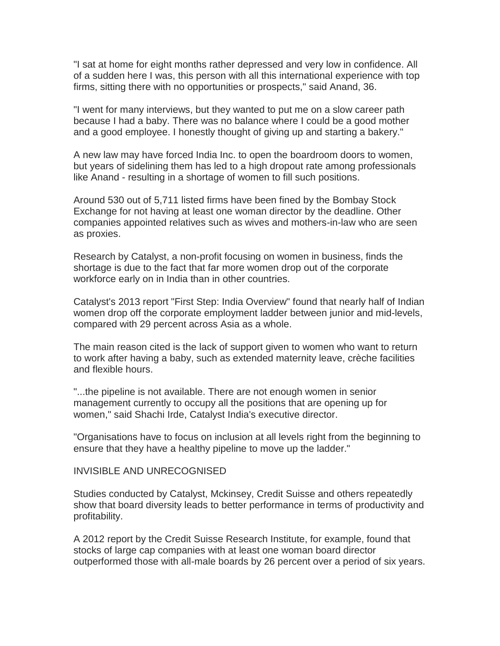"I sat at home for eight months rather depressed and very low in confidence. All of a sudden here I was, this person with all this international experience with top firms, sitting there with no opportunities or prospects," said Anand, 36.

"I went for many interviews, but they wanted to put me on a slow career path because I had a baby. There was no balance where I could be a good mother and a good employee. I honestly thought of giving up and starting a bakery."

A new law may have forced India Inc. to open the boardroom doors to women, but years of sidelining them has led to a high dropout rate among professionals like Anand - resulting in a shortage of women to fill such positions.

Around 530 out of 5,711 listed firms have been fined by the Bombay Stock Exchange for not having at least one woman director by the deadline. Other companies appointed relatives such as wives and mothers-in-law who are seen as proxies.

Research by Catalyst, a non-profit focusing on women in business, finds the shortage is due to the fact that far more women drop out of the corporate workforce early on in India than in other countries.

Catalyst's 2013 report "First Step: India Overview" found that nearly half of Indian women drop off the corporate employment ladder between junior and mid-levels, compared with 29 percent across Asia as a whole.

The main reason cited is the lack of support given to women who want to return to work after having a baby, such as extended maternity leave, crèche facilities and flexible hours.

"...the pipeline is not available. There are not enough women in senior management currently to occupy all the positions that are opening up for women," said Shachi Irde, Catalyst India's executive director.

"Organisations have to focus on inclusion at all levels right from the beginning to ensure that they have a healthy pipeline to move up the ladder."

### INVISIBLE AND UNRECOGNISED

Studies conducted by Catalyst, Mckinsey, Credit Suisse and others repeatedly show that board diversity leads to better performance in terms of productivity and profitability.

A 2012 report by the Credit Suisse Research Institute, for example, found that stocks of large cap companies with at least one woman board director outperformed those with all-male boards by 26 percent over a period of six years.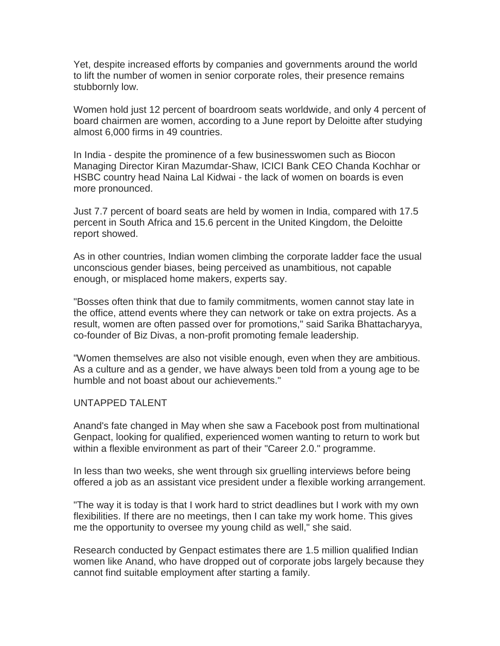Yet, despite increased efforts by companies and governments around the world to lift the number of women in senior corporate roles, their presence remains stubbornly low.

Women hold just 12 percent of boardroom seats worldwide, and only 4 percent of board chairmen are women, according to a June report by Deloitte after studying almost 6,000 firms in 49 countries.

In India - despite the prominence of a few businesswomen such as Biocon Managing Director Kiran Mazumdar-Shaw, ICICI Bank CEO Chanda Kochhar or HSBC country head Naina Lal Kidwai - the lack of women on boards is even more pronounced.

Just 7.7 percent of board seats are held by women in India, compared with 17.5 percent in South Africa and 15.6 percent in the United Kingdom, the Deloitte report showed.

As in other countries, Indian women climbing the corporate ladder face the usual unconscious gender biases, being perceived as unambitious, not capable enough, or misplaced home makers, experts say.

"Bosses often think that due to family commitments, women cannot stay late in the office, attend events where they can network or take on extra projects. As a result, women are often passed over for promotions," said Sarika Bhattacharyya, co-founder of Biz Divas, a non-profit promoting female leadership.

"Women themselves are also not visible enough, even when they are ambitious. As a culture and as a gender, we have always been told from a young age to be humble and not boast about our achievements."

### UNTAPPED TALENT

Anand's fate changed in May when she saw a Facebook post from multinational Genpact, looking for qualified, experienced women wanting to return to work but within a flexible environment as part of their "Career 2.0." programme.

In less than two weeks, she went through six gruelling interviews before being offered a job as an assistant vice president under a flexible working arrangement.

"The way it is today is that I work hard to strict deadlines but I work with my own flexibilities. If there are no meetings, then I can take my work home. This gives me the opportunity to oversee my young child as well," she said.

Research conducted by Genpact estimates there are 1.5 million qualified Indian women like Anand, who have dropped out of corporate jobs largely because they cannot find suitable employment after starting a family.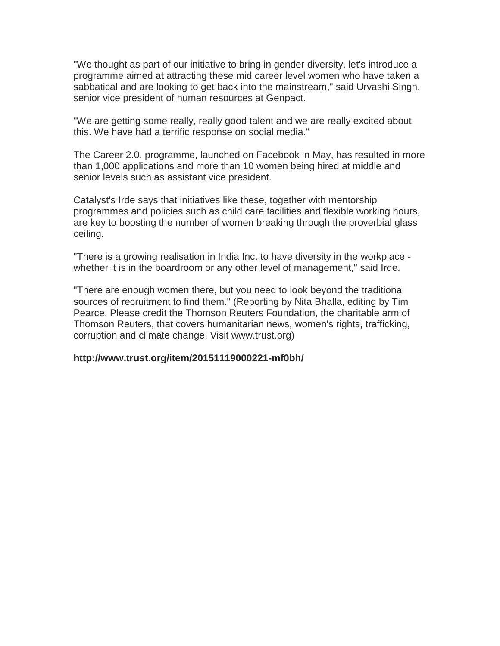"We thought as part of our initiative to bring in gender diversity, let's introduce a programme aimed at attracting these mid career level women who have taken a sabbatical and are looking to get back into the mainstream," said Urvashi Singh, senior vice president of human resources at Genpact.

"We are getting some really, really good talent and we are really excited about this. We have had a terrific response on social media."

The Career 2.0. programme, launched on Facebook in May, has resulted in more than 1,000 applications and more than 10 women being hired at middle and senior levels such as assistant vice president.

Catalyst's Irde says that initiatives like these, together with mentorship programmes and policies such as child care facilities and flexible working hours, are key to boosting the number of women breaking through the proverbial glass ceiling.

"There is a growing realisation in India Inc. to have diversity in the workplace whether it is in the boardroom or any other level of management," said Irde.

"There are enough women there, but you need to look beyond the traditional sources of recruitment to find them." (Reporting by Nita Bhalla, editing by Tim Pearce. Please credit the Thomson Reuters Foundation, the charitable arm of Thomson Reuters, that covers humanitarian news, women's rights, trafficking, corruption and climate change. Visit www.trust.org)

## **http://www.trust.org/item/20151119000221-mf0bh/**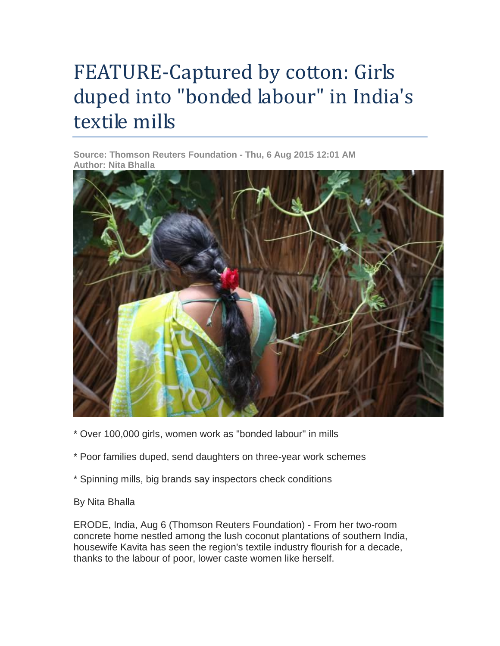## FEATURE-Captured by cotton: Girls duped into "bonded labour" in India's textile mills

**Source: Thomson Reuters Foundation - Thu, 6 Aug 2015 12:01 AM Author: Nita Bhalla**



- \* Over 100,000 girls, women work as "bonded labour" in mills
- \* Poor families duped, send daughters on three-year work schemes
- \* Spinning mills, big brands say inspectors check conditions

## By Nita Bhalla

ERODE, India, Aug 6 (Thomson Reuters Foundation) - From her two-room concrete home nestled among the lush coconut plantations of southern India, housewife Kavita has seen the region's textile industry flourish for a decade, thanks to the labour of poor, lower caste women like herself.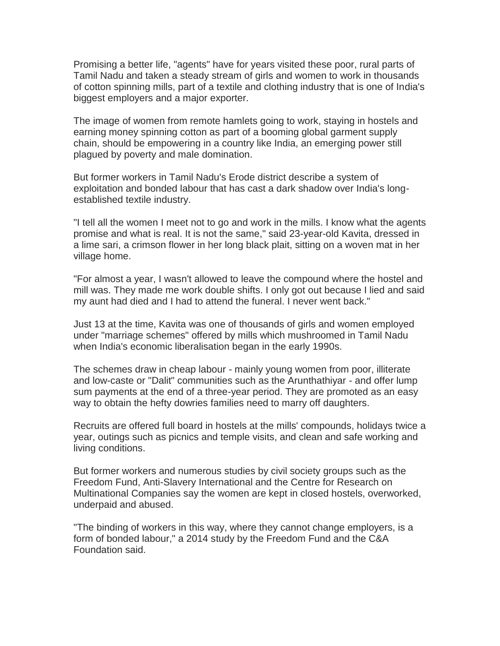Promising a better life, "agents" have for years visited these poor, rural parts of Tamil Nadu and taken a steady stream of girls and women to work in thousands of cotton spinning mills, part of a textile and clothing industry that is one of India's biggest employers and a major exporter.

The image of women from remote hamlets going to work, staying in hostels and earning money spinning cotton as part of a booming global garment supply chain, should be empowering in a country like India, an emerging power still plagued by poverty and male domination.

But former workers in Tamil Nadu's Erode district describe a system of exploitation and bonded labour that has cast a dark shadow over India's longestablished textile industry.

"I tell all the women I meet not to go and work in the mills. I know what the agents promise and what is real. It is not the same," said 23-year-old Kavita, dressed in a lime sari, a crimson flower in her long black plait, sitting on a woven mat in her village home.

"For almost a year, I wasn't allowed to leave the compound where the hostel and mill was. They made me work double shifts. I only got out because I lied and said my aunt had died and I had to attend the funeral. I never went back."

Just 13 at the time, Kavita was one of thousands of girls and women employed under "marriage schemes" offered by mills which mushroomed in Tamil Nadu when India's economic liberalisation began in the early 1990s.

The schemes draw in cheap labour - mainly young women from poor, illiterate and low-caste or "Dalit" communities such as the Arunthathiyar - and offer lump sum payments at the end of a three-year period. They are promoted as an easy way to obtain the hefty dowries families need to marry off daughters.

Recruits are offered full board in hostels at the mills' compounds, holidays twice a year, outings such as picnics and temple visits, and clean and safe working and living conditions.

But former workers and numerous studies by civil society groups such as the Freedom Fund, Anti-Slavery International and the Centre for Research on Multinational Companies say the women are kept in closed hostels, overworked, underpaid and abused.

"The binding of workers in this way, where they cannot change employers, is a form of bonded labour," a 2014 study by the Freedom Fund and the C&A Foundation said.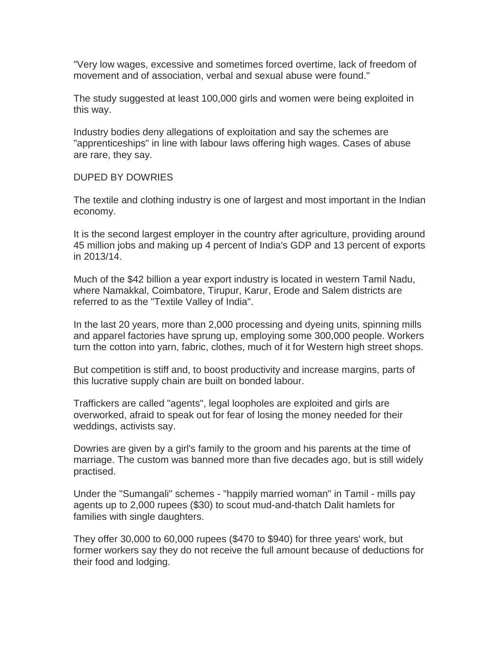"Very low wages, excessive and sometimes forced overtime, lack of freedom of movement and of association, verbal and sexual abuse were found."

The study suggested at least 100,000 girls and women were being exploited in this way.

Industry bodies deny allegations of exploitation and say the schemes are "apprenticeships" in line with labour laws offering high wages. Cases of abuse are rare, they say.

### DUPED BY DOWRIES

The textile and clothing industry is one of largest and most important in the Indian economy.

It is the second largest employer in the country after agriculture, providing around 45 million jobs and making up 4 percent of India's GDP and 13 percent of exports in 2013/14.

Much of the \$42 billion a year export industry is located in western Tamil Nadu, where Namakkal, Coimbatore, Tirupur, Karur, Erode and Salem districts are referred to as the "Textile Valley of India".

In the last 20 years, more than 2,000 processing and dyeing units, spinning mills and apparel factories have sprung up, employing some 300,000 people. Workers turn the cotton into yarn, fabric, clothes, much of it for Western high street shops.

But competition is stiff and, to boost productivity and increase margins, parts of this lucrative supply chain are built on bonded labour.

Traffickers are called "agents", legal loopholes are exploited and girls are overworked, afraid to speak out for fear of losing the money needed for their weddings, activists say.

Dowries are given by a girl's family to the groom and his parents at the time of marriage. The custom was banned more than five decades ago, but is still widely practised.

Under the "Sumangali" schemes - "happily married woman" in Tamil - mills pay agents up to 2,000 rupees (\$30) to scout mud-and-thatch Dalit hamlets for families with single daughters.

They offer 30,000 to 60,000 rupees (\$470 to \$940) for three years' work, but former workers say they do not receive the full amount because of deductions for their food and lodging.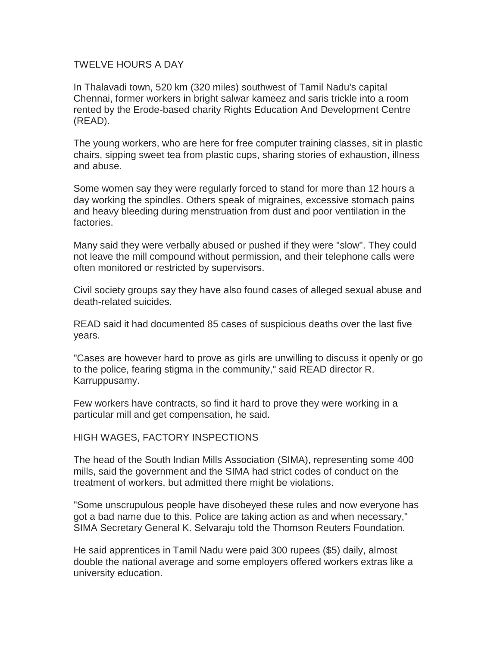## TWELVE HOURS A DAY

In Thalavadi town, 520 km (320 miles) southwest of Tamil Nadu's capital Chennai, former workers in bright salwar kameez and saris trickle into a room rented by the Erode-based charity Rights Education And Development Centre (READ).

The young workers, who are here for free computer training classes, sit in plastic chairs, sipping sweet tea from plastic cups, sharing stories of exhaustion, illness and abuse.

Some women say they were regularly forced to stand for more than 12 hours a day working the spindles. Others speak of migraines, excessive stomach pains and heavy bleeding during menstruation from dust and poor ventilation in the factories.

Many said they were verbally abused or pushed if they were "slow". They could not leave the mill compound without permission, and their telephone calls were often monitored or restricted by supervisors.

Civil society groups say they have also found cases of alleged sexual abuse and death-related suicides.

READ said it had documented 85 cases of suspicious deaths over the last five years.

"Cases are however hard to prove as girls are unwilling to discuss it openly or go to the police, fearing stigma in the community," said READ director R. Karruppusamy.

Few workers have contracts, so find it hard to prove they were working in a particular mill and get compensation, he said.

### HIGH WAGES, FACTORY INSPECTIONS

The head of the South Indian Mills Association (SIMA), representing some 400 mills, said the government and the SIMA had strict codes of conduct on the treatment of workers, but admitted there might be violations.

"Some unscrupulous people have disobeyed these rules and now everyone has got a bad name due to this. Police are taking action as and when necessary," SIMA Secretary General K. Selvaraju told the Thomson Reuters Foundation.

He said apprentices in Tamil Nadu were paid 300 rupees (\$5) daily, almost double the national average and some employers offered workers extras like a university education.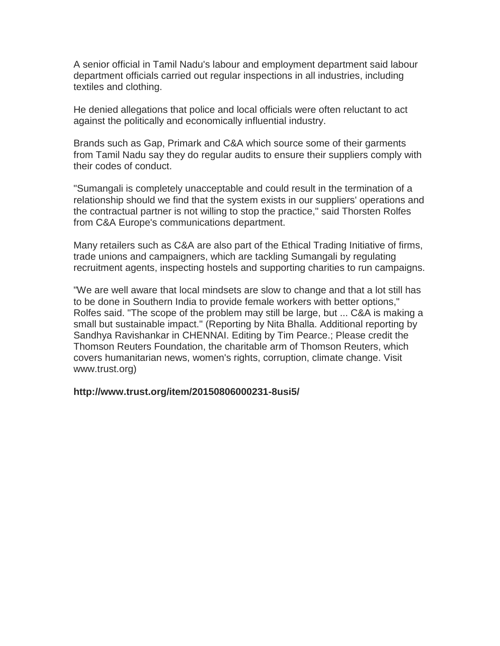A senior official in Tamil Nadu's labour and employment department said labour department officials carried out regular inspections in all industries, including textiles and clothing.

He denied allegations that police and local officials were often reluctant to act against the politically and economically influential industry.

Brands such as Gap, Primark and C&A which source some of their garments from Tamil Nadu say they do regular audits to ensure their suppliers comply with their codes of conduct.

"Sumangali is completely unacceptable and could result in the termination of a relationship should we find that the system exists in our suppliers' operations and the contractual partner is not willing to stop the practice," said Thorsten Rolfes from C&A Europe's communications department.

Many retailers such as C&A are also part of the Ethical Trading Initiative of firms, trade unions and campaigners, which are tackling Sumangali by regulating recruitment agents, inspecting hostels and supporting charities to run campaigns.

"We are well aware that local mindsets are slow to change and that a lot still has to be done in Southern India to provide female workers with better options," Rolfes said. "The scope of the problem may still be large, but ... C&A is making a small but sustainable impact." (Reporting by Nita Bhalla. Additional reporting by Sandhya Ravishankar in CHENNAI. Editing by Tim Pearce.; Please credit the Thomson Reuters Foundation, the charitable arm of Thomson Reuters, which covers humanitarian news, women's rights, corruption, climate change. Visit www.trust.org)

### **http://www.trust.org/item/20150806000231-8usi5/**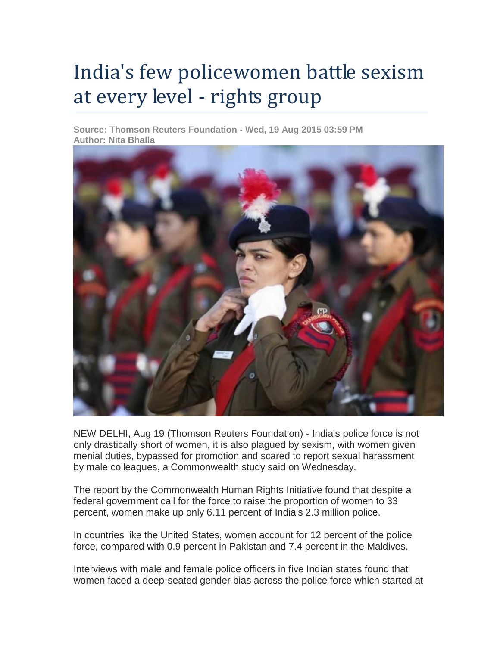# India's few policewomen battle sexism at every level - rights group

**Source: Thomson Reuters Foundation - Wed, 19 Aug 2015 03:59 PM Author: Nita Bhalla**



NEW DELHI, Aug 19 (Thomson Reuters Foundation) - India's police force is not only drastically short of women, it is also plagued by sexism, with women given menial duties, bypassed for promotion and scared to report sexual harassment by male colleagues, a Commonwealth study said on Wednesday.

The report by the Commonwealth Human Rights Initiative found that despite a federal government call for the force to raise the proportion of women to 33 percent, women make up only 6.11 percent of India's 2.3 million police.

In countries like the United States, women account for 12 percent of the police force, compared with 0.9 percent in Pakistan and 7.4 percent in the Maldives.

Interviews with male and female police officers in five Indian states found that women faced a deep-seated gender bias across the police force which started at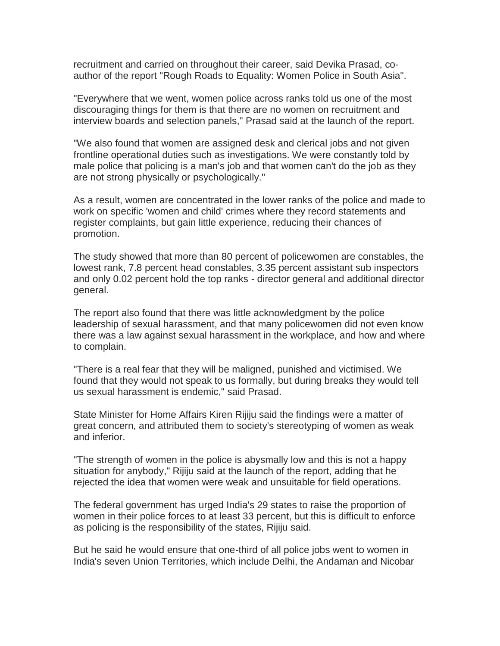recruitment and carried on throughout their career, said Devika Prasad, coauthor of the report "Rough Roads to Equality: Women Police in South Asia".

"Everywhere that we went, women police across ranks told us one of the most discouraging things for them is that there are no women on recruitment and interview boards and selection panels," Prasad said at the launch of the report.

"We also found that women are assigned desk and clerical jobs and not given frontline operational duties such as investigations. We were constantly told by male police that policing is a man's job and that women can't do the job as they are not strong physically or psychologically."

As a result, women are concentrated in the lower ranks of the police and made to work on specific 'women and child' crimes where they record statements and register complaints, but gain little experience, reducing their chances of promotion.

The study showed that more than 80 percent of policewomen are constables, the lowest rank, 7.8 percent head constables, 3.35 percent assistant sub inspectors and only 0.02 percent hold the top ranks - director general and additional director general.

The report also found that there was little acknowledgment by the police leadership of sexual harassment, and that many policewomen did not even know there was a law against sexual harassment in the workplace, and how and where to complain.

"There is a real fear that they will be maligned, punished and victimised. We found that they would not speak to us formally, but during breaks they would tell us sexual harassment is endemic," said Prasad.

State Minister for Home Affairs Kiren Rijiju said the findings were a matter of great concern, and attributed them to society's stereotyping of women as weak and inferior.

"The strength of women in the police is abysmally low and this is not a happy situation for anybody," Rijiju said at the launch of the report, adding that he rejected the idea that women were weak and unsuitable for field operations.

The federal government has urged India's 29 states to raise the proportion of women in their police forces to at least 33 percent, but this is difficult to enforce as policing is the responsibility of the states, Rijiju said.

But he said he would ensure that one-third of all police jobs went to women in India's seven Union Territories, which include Delhi, the Andaman and Nicobar